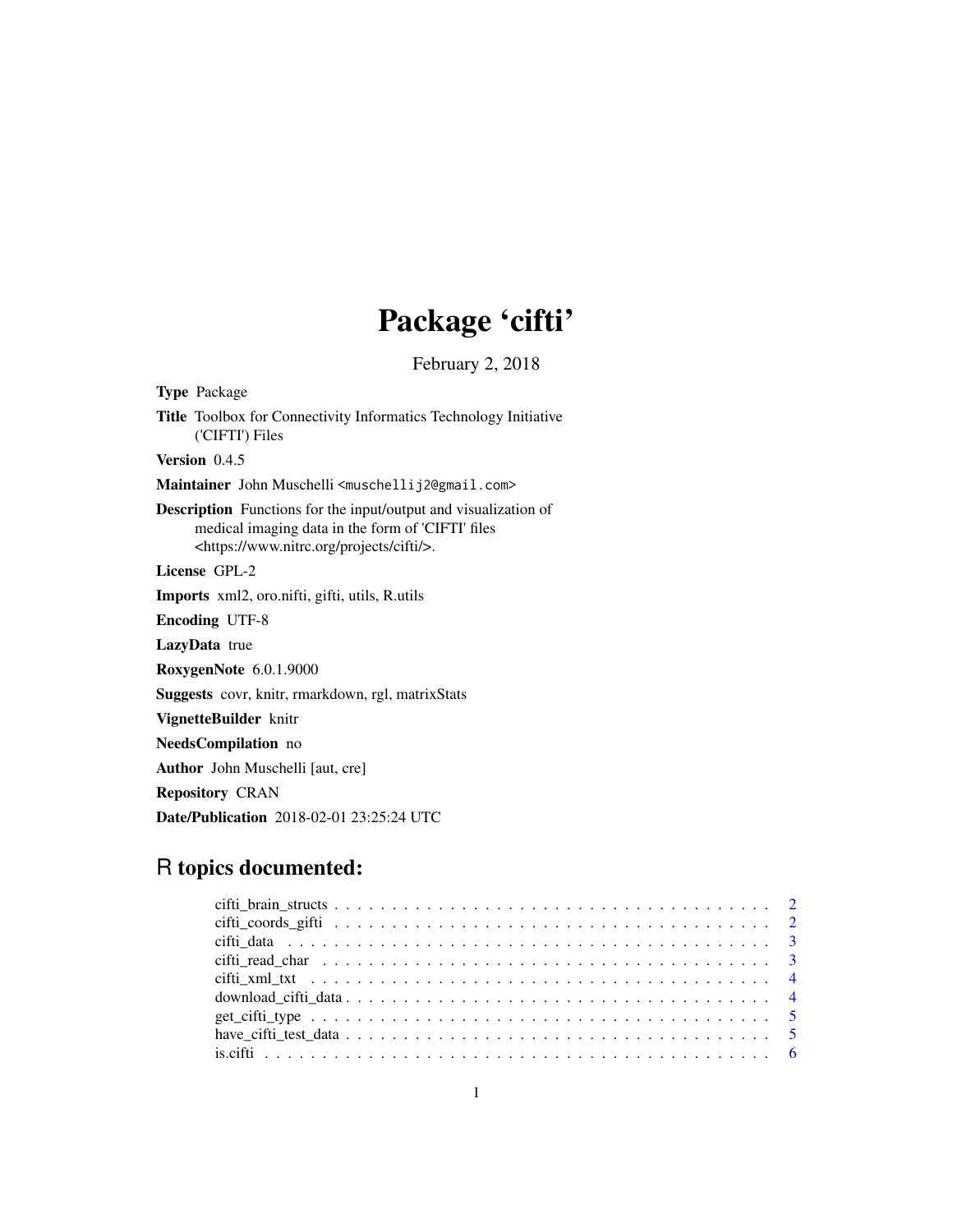## Package 'cifti'

February 2, 2018

<span id="page-0-0"></span>Type Package Title Toolbox for Connectivity Informatics Technology Initiative ('CIFTI') Files Version 0.4.5 Maintainer John Muschelli <muschellij2@gmail.com> Description Functions for the input/output and visualization of medical imaging data in the form of 'CIFTI' files <https://www.nitrc.org/projects/cifti/>. License GPL-2 Imports xml2, oro.nifti, gifti, utils, R.utils Encoding UTF-8 LazyData true RoxygenNote 6.0.1.9000 Suggests covr, knitr, rmarkdown, rgl, matrixStats VignetteBuilder knitr NeedsCompilation no Author John Muschelli [aut, cre] Repository CRAN

Date/Publication 2018-02-01 23:25:24 UTC

### R topics documented: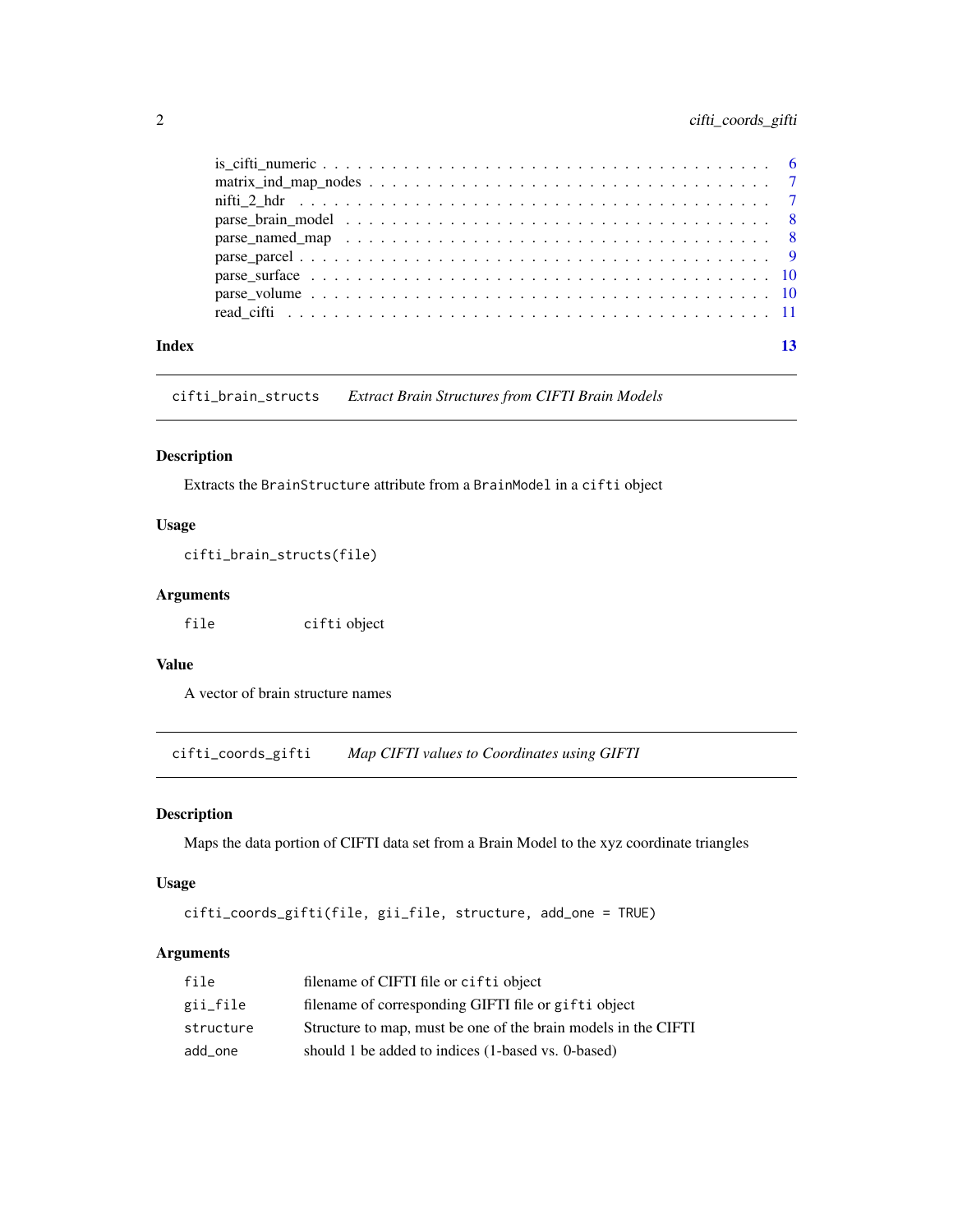#### <span id="page-1-0"></span>2 cifti\_coords\_gifti

|       | $matrix\_ind\_map\_nodes \dots \dots \dots \dots \dots \dots \dots \dots \dots \dots \dots \dots \dots \dots \dots \dots \dots$ |  |
|-------|---------------------------------------------------------------------------------------------------------------------------------|--|
|       |                                                                                                                                 |  |
|       |                                                                                                                                 |  |
|       | parse named map $\ldots \ldots \ldots \ldots \ldots \ldots \ldots \ldots \ldots \ldots \ldots \ldots$                           |  |
|       |                                                                                                                                 |  |
|       |                                                                                                                                 |  |
|       |                                                                                                                                 |  |
|       |                                                                                                                                 |  |
| Index |                                                                                                                                 |  |
|       |                                                                                                                                 |  |

cifti\_brain\_structs *Extract Brain Structures from CIFTI Brain Models*

#### Description

Extracts the BrainStructure attribute from a BrainModel in a cifti object

#### Usage

```
cifti_brain_structs(file)
```
#### Arguments

file cifti object

#### Value

A vector of brain structure names

cifti\_coords\_gifti *Map CIFTI values to Coordinates using GIFTI*

#### Description

Maps the data portion of CIFTI data set from a Brain Model to the xyz coordinate triangles

#### Usage

```
cifti_coords_gifti(file, gii_file, structure, add_one = TRUE)
```
#### Arguments

| file      | filename of CIFTI file or cifti object                         |
|-----------|----------------------------------------------------------------|
| gii_file  | filename of corresponding GIFTI file or gifti object           |
| structure | Structure to map, must be one of the brain models in the CIFTI |
| add_one   | should 1 be added to indices (1-based vs. 0-based)             |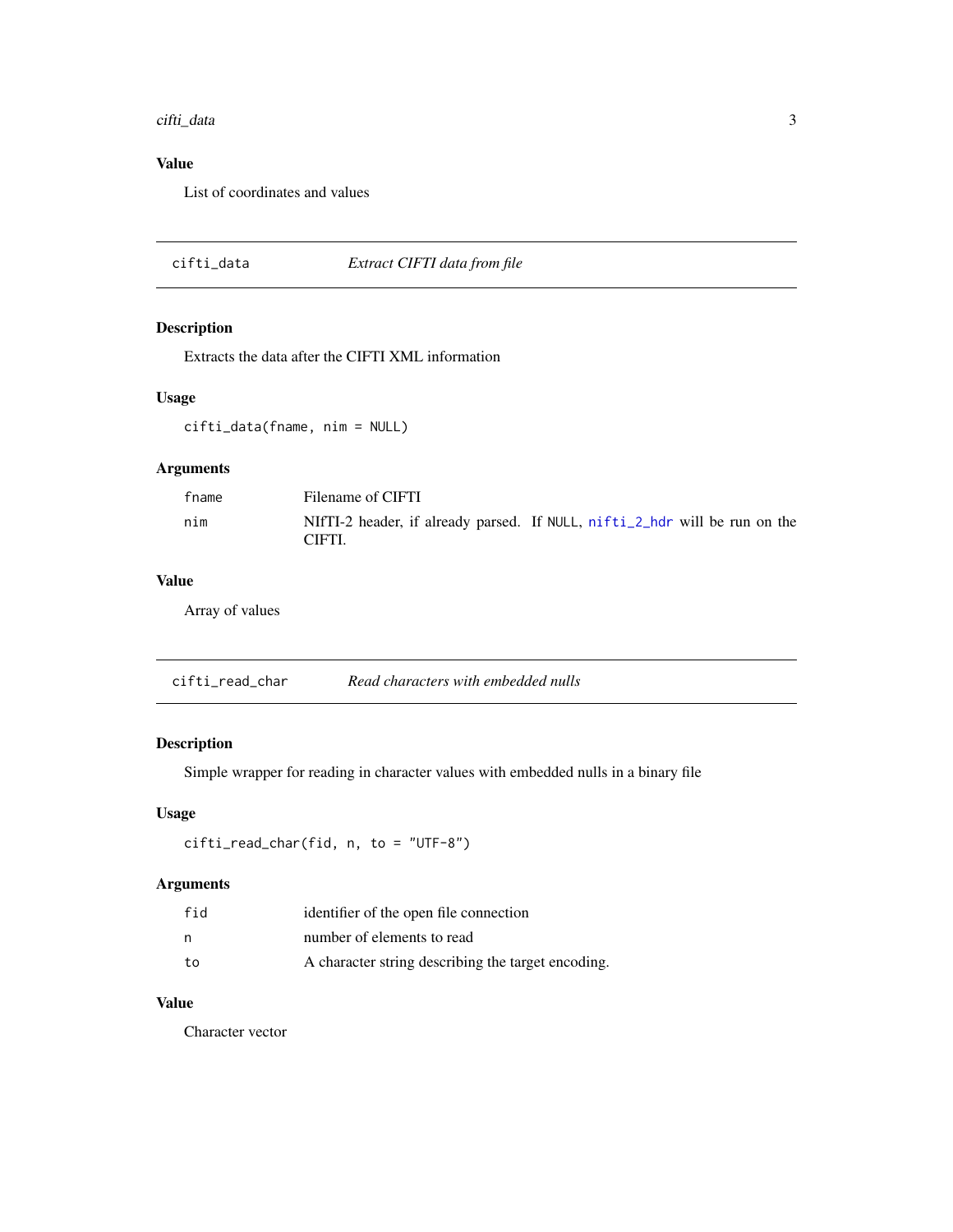#### <span id="page-2-0"></span>cifti\_data 3

#### Value

List of coordinates and values

cifti\_data *Extract CIFTI data from file*

#### Description

Extracts the data after the CIFTI XML information

#### Usage

cifti\_data(fname, nim = NULL)

#### Arguments

| fname | Filename of CIFTI                                                                    |
|-------|--------------------------------------------------------------------------------------|
| nim   | NIfTI-2 header, if already parsed. If NULL, nifti_2_hdr will be run on the<br>CIFTI. |

#### Value

Array of values

cifti\_read\_char *Read characters with embedded nulls*

#### Description

Simple wrapper for reading in character values with embedded nulls in a binary file

#### Usage

```
cifti_read_char(fid, n, to = "UTF-8")
```
#### Arguments

| fid | identifier of the open file connection             |
|-----|----------------------------------------------------|
| n   | number of elements to read                         |
| to  | A character string describing the target encoding. |

#### Value

Character vector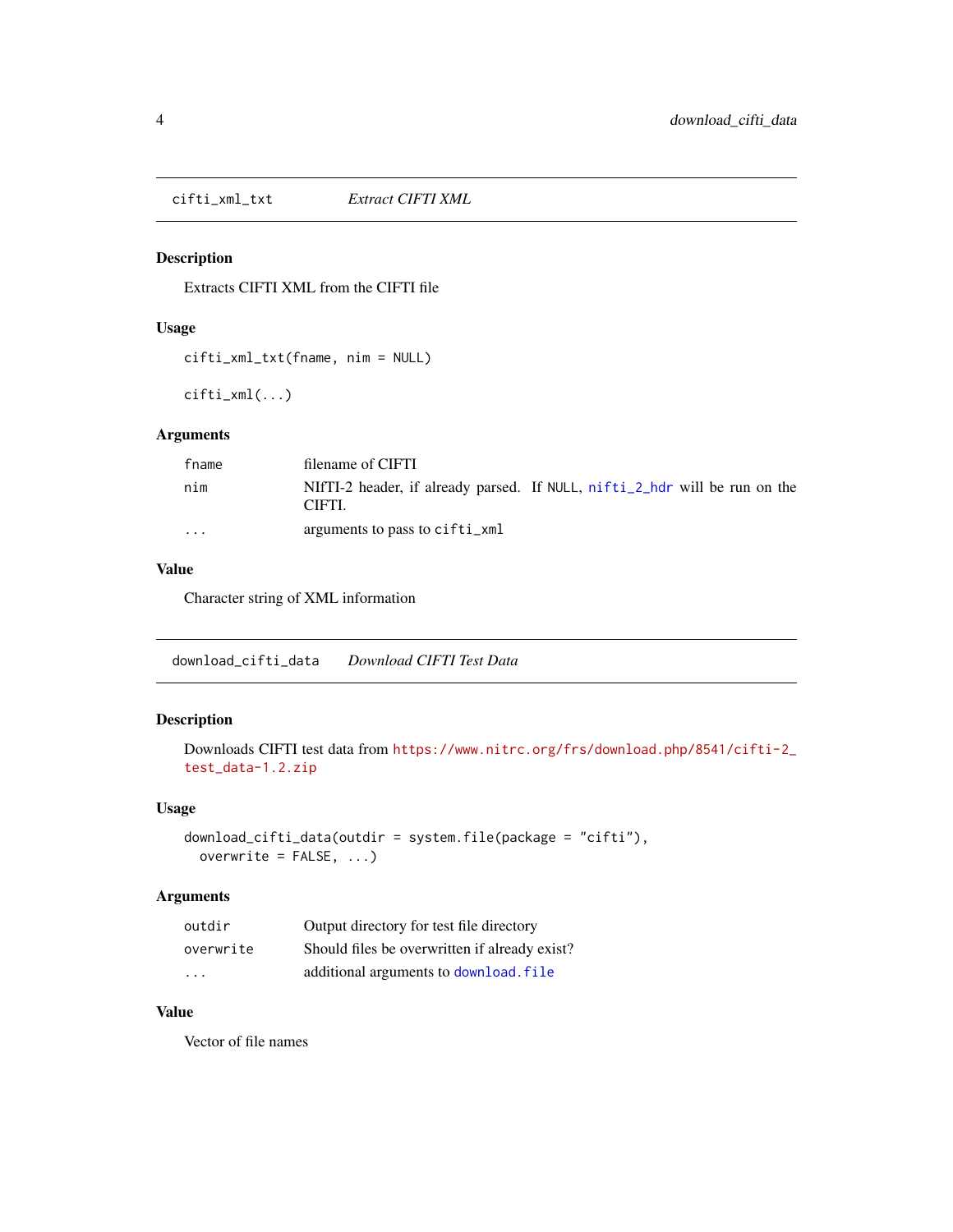<span id="page-3-0"></span>cifti\_xml\_txt *Extract CIFTI XML*

#### Description

Extracts CIFTI XML from the CIFTI file

#### Usage

cifti\_xml\_txt(fname, nim = NULL)

cifti\_xml(...)

#### Arguments

| fname    | filename of CIFTI                                                                    |
|----------|--------------------------------------------------------------------------------------|
| nim      | NIfTI-2 header, if already parsed. If NULL, nifti_2_hdr will be run on the<br>CIFTI. |
| $\cdots$ | arguments to pass to cifti_xml                                                       |

#### Value

Character string of XML information

download\_cifti\_data *Download CIFTI Test Data*

#### Description

Downloads CIFTI test data from [https://www.nitrc.org/frs/download.php/8541/cifti-2\\_](https://www.nitrc.org/frs/download.php/8541/cifti-2_test_data-1.2.zip) [test\\_data-1.2.zip](https://www.nitrc.org/frs/download.php/8541/cifti-2_test_data-1.2.zip)

#### Usage

```
download_cifti_data(outdir = system.file(package = "cifti"),
 overwrite = FALSE, ...)
```
#### Arguments

| outdir    | Output directory for test file directory      |
|-----------|-----------------------------------------------|
| overwrite | Should files be overwritten if already exist? |
| $\cdot$   | additional arguments to download. file        |

### Value

Vector of file names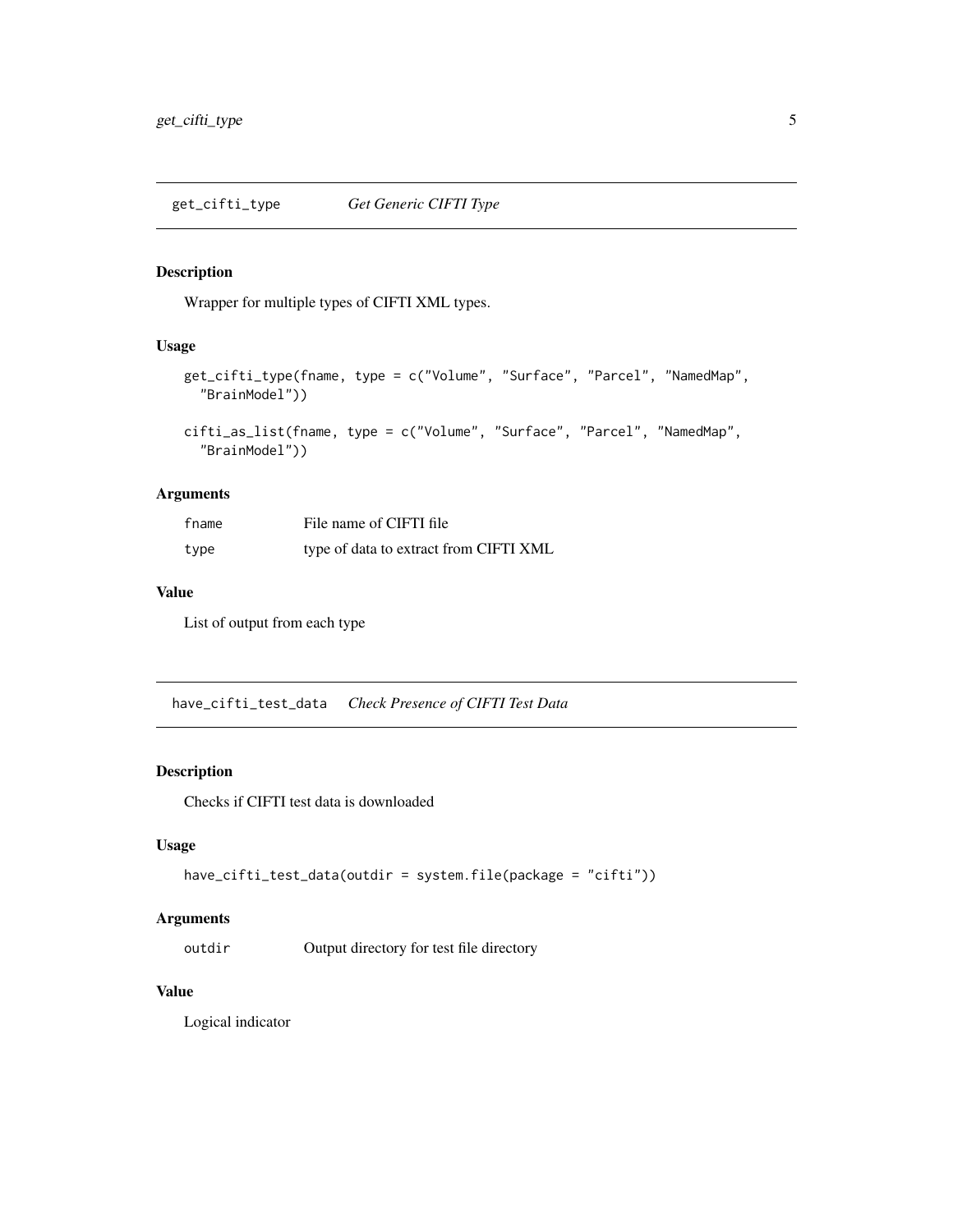#### <span id="page-4-0"></span>Description

Wrapper for multiple types of CIFTI XML types.

#### Usage

```
get_cifti_type(fname, type = c("Volume", "Surface", "Parcel", "NamedMap",
  "BrainModel"))
```

```
cifti_as_list(fname, type = c("Volume", "Surface", "Parcel", "NamedMap",
  "BrainModel"))
```
#### Arguments

| fname | File name of CIFTI file                |
|-------|----------------------------------------|
| type  | type of data to extract from CIFTI XML |

#### Value

List of output from each type

have\_cifti\_test\_data *Check Presence of CIFTI Test Data*

#### Description

Checks if CIFTI test data is downloaded

#### Usage

```
have_cifti_test_data(outdir = system.file(package = "cifti"))
```
#### Arguments

outdir Output directory for test file directory

#### Value

Logical indicator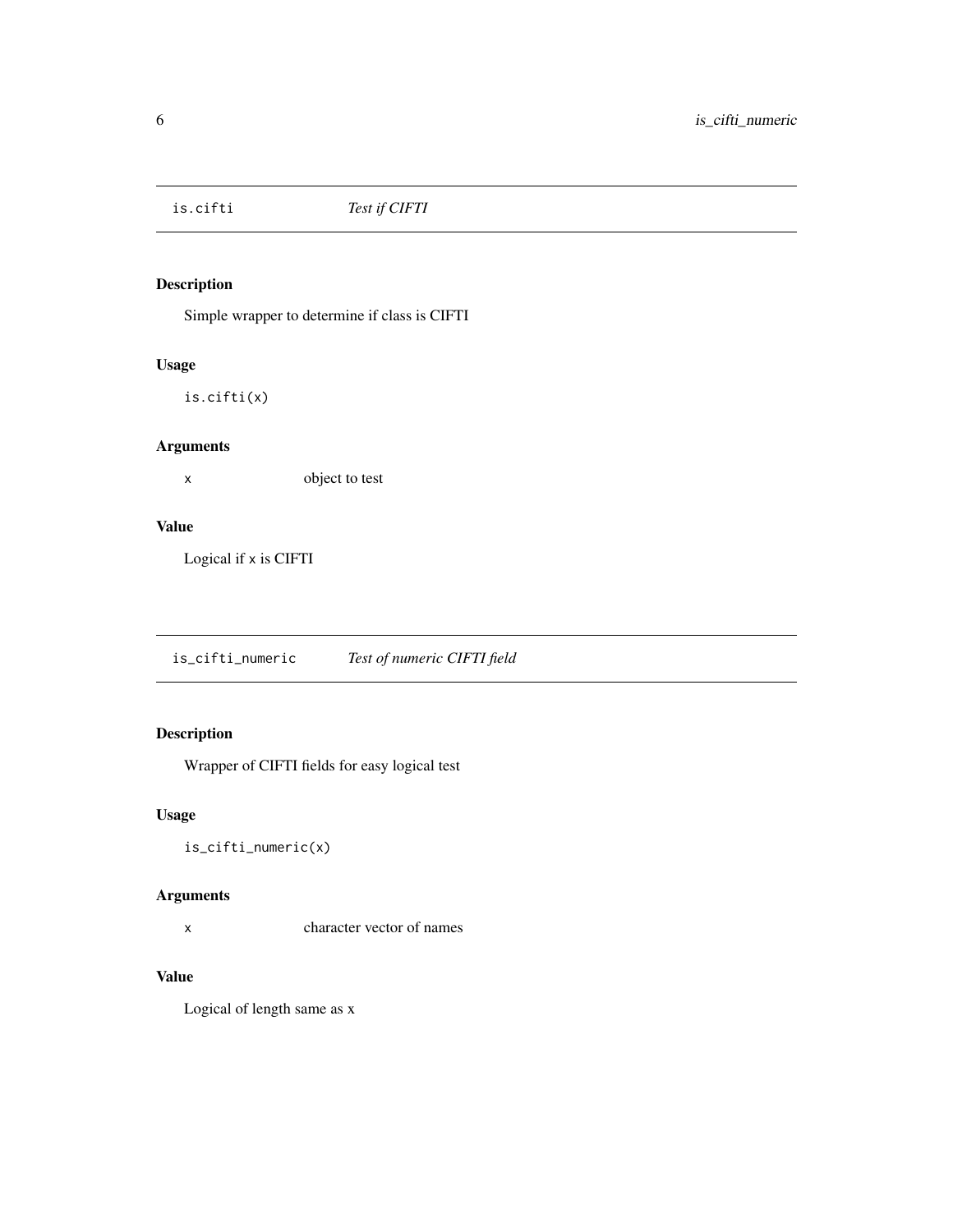<span id="page-5-0"></span>

#### Description

Simple wrapper to determine if class is CIFTI

#### Usage

is.cifti(x)

#### Arguments

x object to test

#### Value

Logical if x is CIFTI

is\_cifti\_numeric *Test of numeric CIFTI field*

#### Description

Wrapper of CIFTI fields for easy logical test

#### Usage

is\_cifti\_numeric(x)

#### Arguments

x character vector of names

#### Value

Logical of length same as x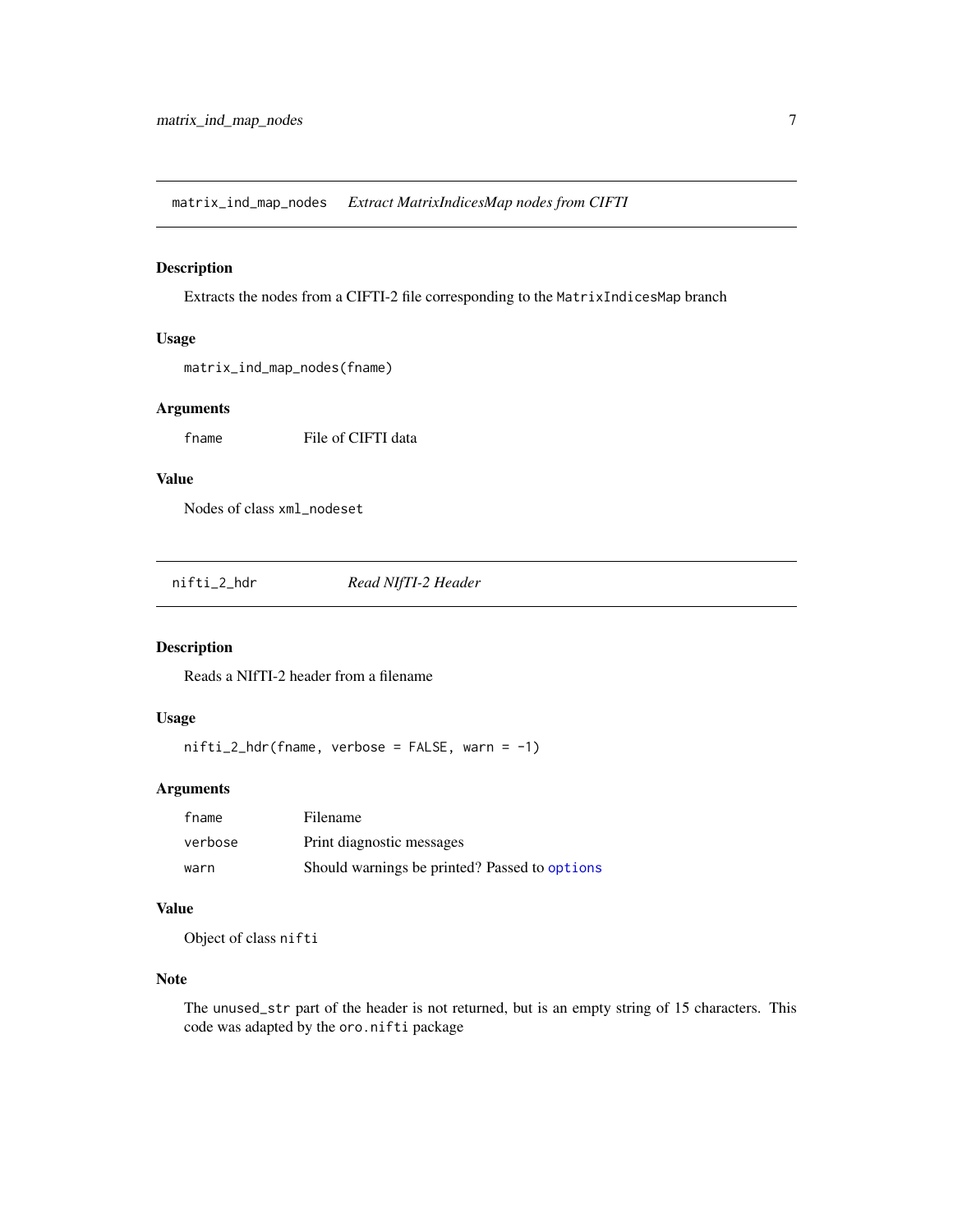<span id="page-6-0"></span>matrix\_ind\_map\_nodes *Extract MatrixIndicesMap nodes from CIFTI*

#### Description

Extracts the nodes from a CIFTI-2 file corresponding to the MatrixIndicesMap branch

#### Usage

matrix\_ind\_map\_nodes(fname)

#### Arguments

fname File of CIFTI data

#### Value

Nodes of class xml\_nodeset

<span id="page-6-1"></span>nifti\_2\_hdr *Read NIfTI-2 Header*

#### Description

Reads a NIfTI-2 header from a filename

#### Usage

 $nifti_2_hdr(fname, verbose = FALSE, warn = -1)$ 

#### Arguments

| fname   | Filename                                      |
|---------|-----------------------------------------------|
| verbose | Print diagnostic messages                     |
| warn    | Should warnings be printed? Passed to options |

#### Value

Object of class nifti

#### Note

The unused\_str part of the header is not returned, but is an empty string of 15 characters. This code was adapted by the oro.nifti package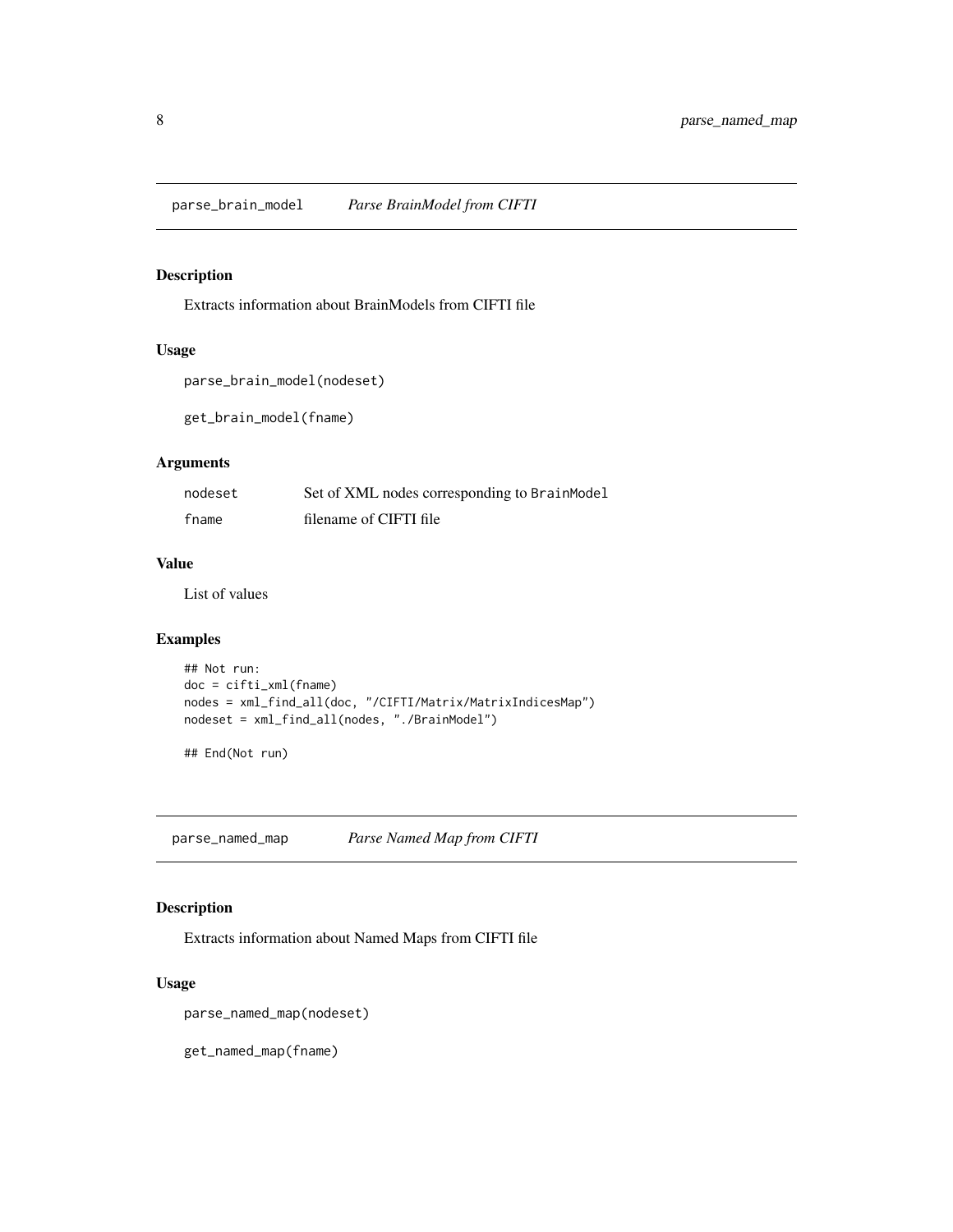<span id="page-7-0"></span>parse\_brain\_model *Parse BrainModel from CIFTI*

#### Description

Extracts information about BrainModels from CIFTI file

#### Usage

```
parse_brain_model(nodeset)
```
get\_brain\_model(fname)

#### Arguments

| nodeset | Set of XML nodes corresponding to BrainModel |
|---------|----------------------------------------------|
| fname   | filename of CIFTI file                       |

#### Value

List of values

#### Examples

```
## Not run:
doc = cifti_xml(fname)
nodes = xml_find_all(doc, "/CIFTI/Matrix/MatrixIndicesMap")
nodeset = xml_find_all(nodes, "./BrainModel")
```
## End(Not run)

parse\_named\_map *Parse Named Map from CIFTI*

#### Description

Extracts information about Named Maps from CIFTI file

#### Usage

parse\_named\_map(nodeset)

get\_named\_map(fname)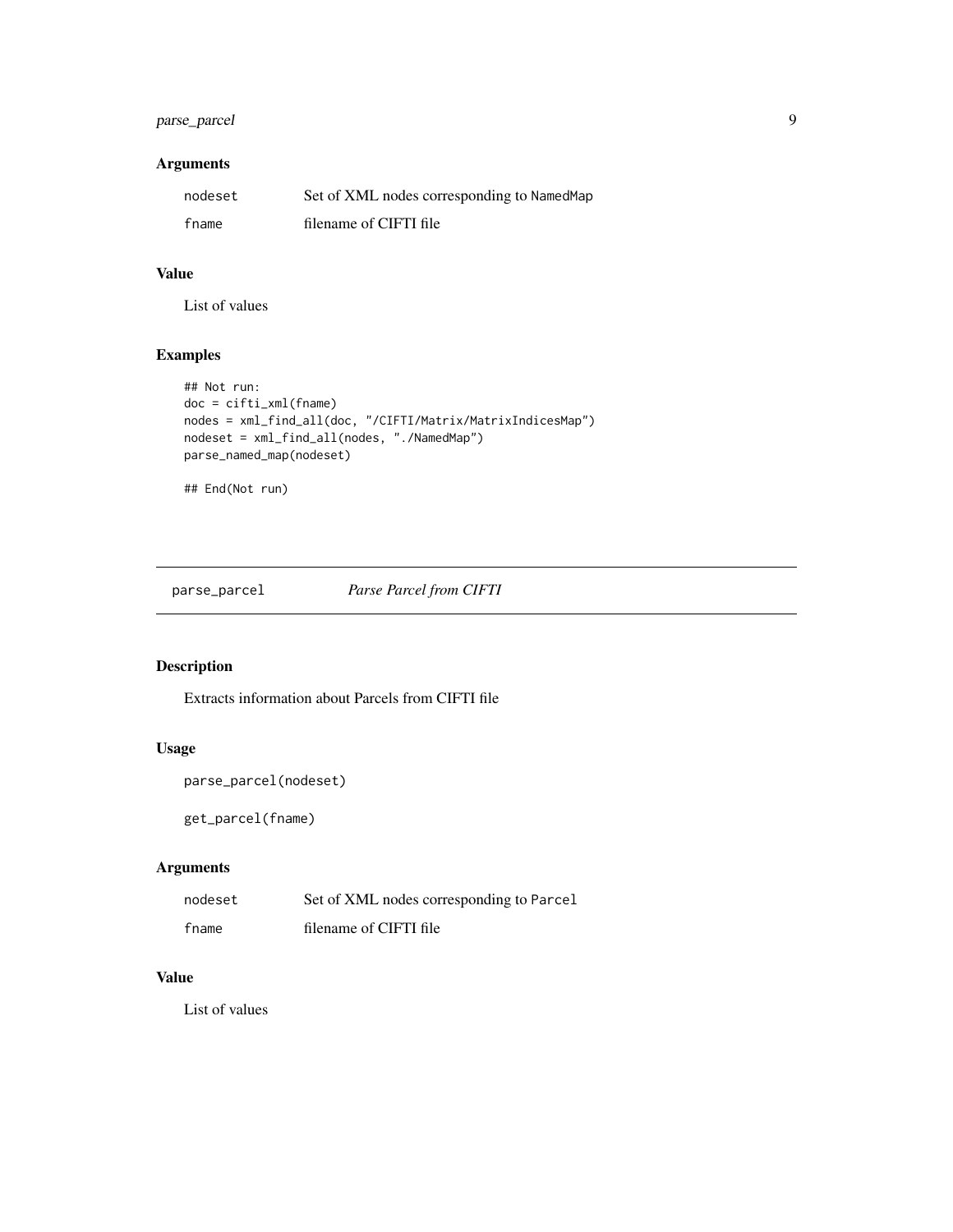#### <span id="page-8-0"></span>parse\_parcel 9

#### Arguments

| nodeset | Set of XML nodes corresponding to NamedMap |
|---------|--------------------------------------------|
| fname   | filename of CIFTI file                     |

#### Value

List of values

#### Examples

```
## Not run:
doc = cifti_xml(fname)
nodes = xml_find_all(doc, "/CIFTI/Matrix/MatrixIndicesMap")
nodeset = xml_find_all(nodes, "./NamedMap")
parse_named_map(nodeset)
## End(Not run)
```
parse\_parcel *Parse Parcel from CIFTI*

#### Description

Extracts information about Parcels from CIFTI file

#### Usage

```
parse_parcel(nodeset)
```
get\_parcel(fname)

#### Arguments

| nodeset | Set of XML nodes corresponding to Parcel |
|---------|------------------------------------------|
| fname   | filename of CIFTI file                   |

#### Value

List of values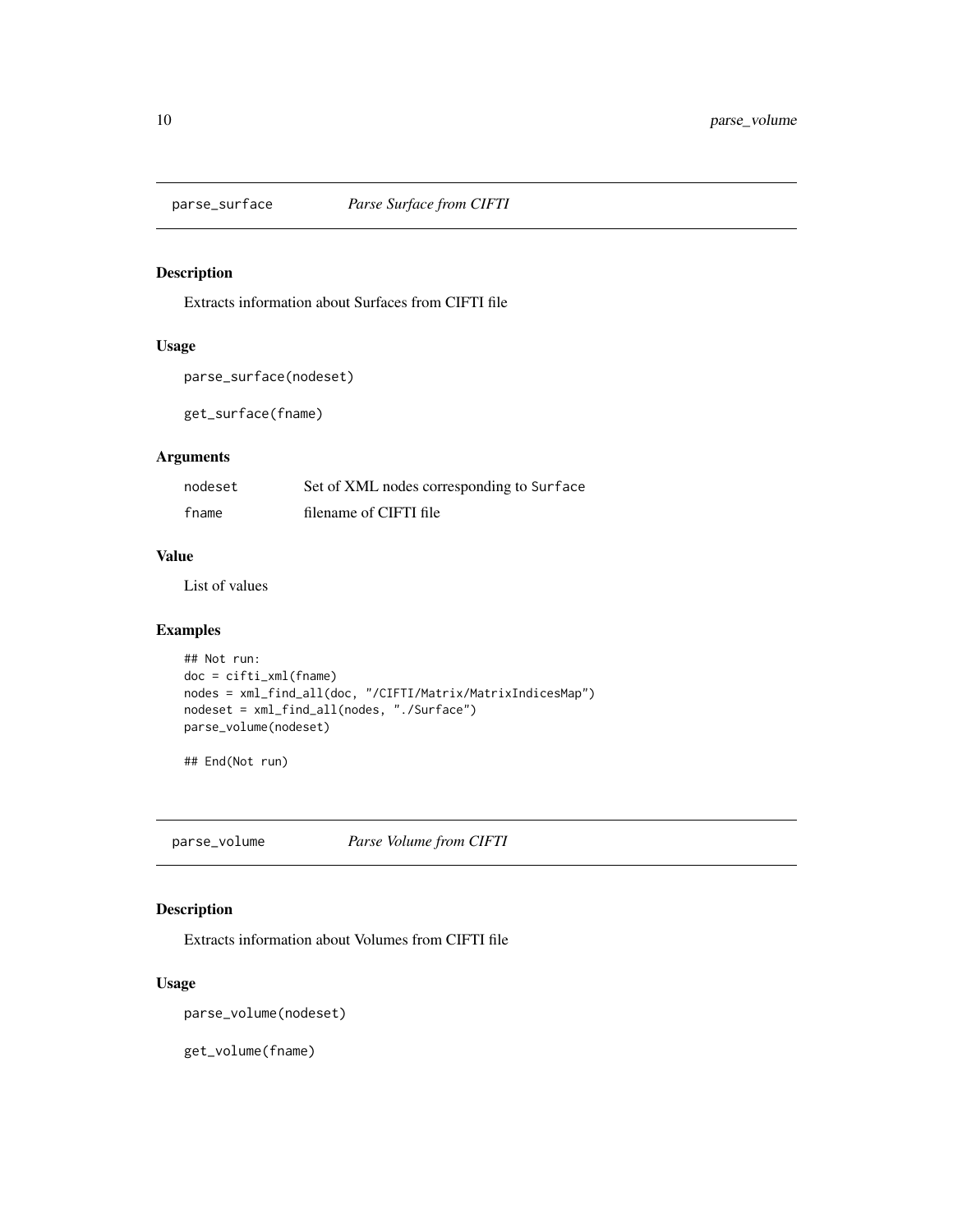<span id="page-9-0"></span>

#### Description

Extracts information about Surfaces from CIFTI file

#### Usage

```
parse_surface(nodeset)
```
get\_surface(fname)

#### Arguments

| nodeset | Set of XML nodes corresponding to Surface |
|---------|-------------------------------------------|
| fname   | filename of CIFTI file                    |

#### Value

List of values

#### Examples

```
## Not run:
doc = cifti_xml(fname)
nodes = xml_find_all(doc, "/CIFTI/Matrix/MatrixIndicesMap")
nodeset = xml_find_all(nodes, "./Surface")
parse_volume(nodeset)
```
## End(Not run)

parse\_volume *Parse Volume from CIFTI*

#### Description

Extracts information about Volumes from CIFTI file

#### Usage

```
parse_volume(nodeset)
```
get\_volume(fname)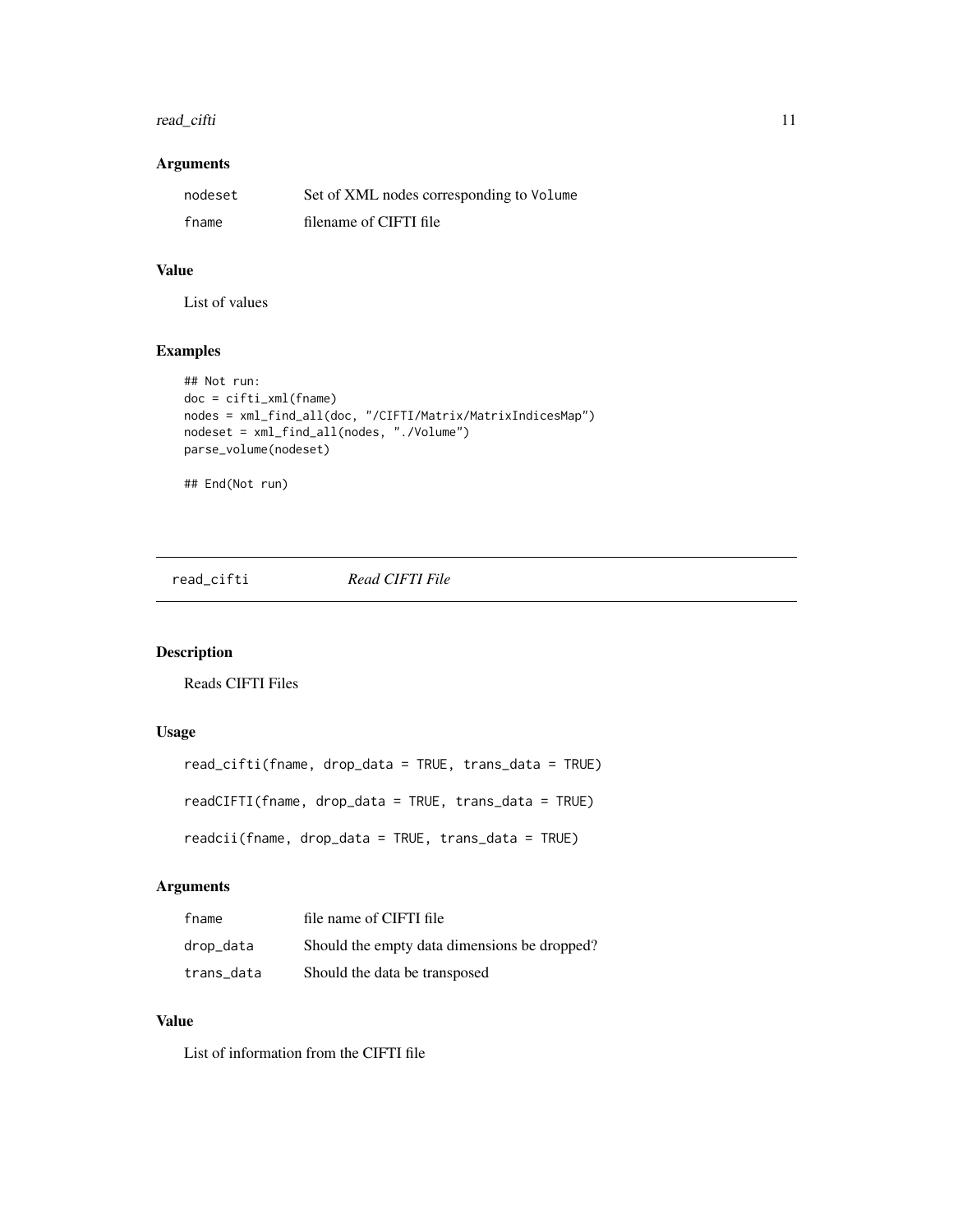#### <span id="page-10-0"></span>read\_cifti 11

#### Arguments

| nodeset | Set of XML nodes corresponding to Volume |
|---------|------------------------------------------|
| fname   | filename of CIFTI file                   |

#### Value

List of values

#### Examples

```
## Not run:
doc = cifti_xml(fname)
nodes = xml_find_all(doc, "/CIFTI/Matrix/MatrixIndicesMap")
nodeset = xml_find_all(nodes, "./Volume")
parse_volume(nodeset)
## End(Not run)
```
read\_cifti *Read CIFTI File*

#### Description

Reads CIFTI Files

#### Usage

```
read_cifti(fname, drop_data = TRUE, trans_data = TRUE)
readCIFTI(fname, drop_data = TRUE, trans_data = TRUE)
readcii(fname, drop_data = TRUE, trans_data = TRUE)
```
#### Arguments

| fname      | file name of CIFTI file                      |
|------------|----------------------------------------------|
| drop_data  | Should the empty data dimensions be dropped? |
| trans data | Should the data be transposed                |

#### Value

List of information from the CIFTI file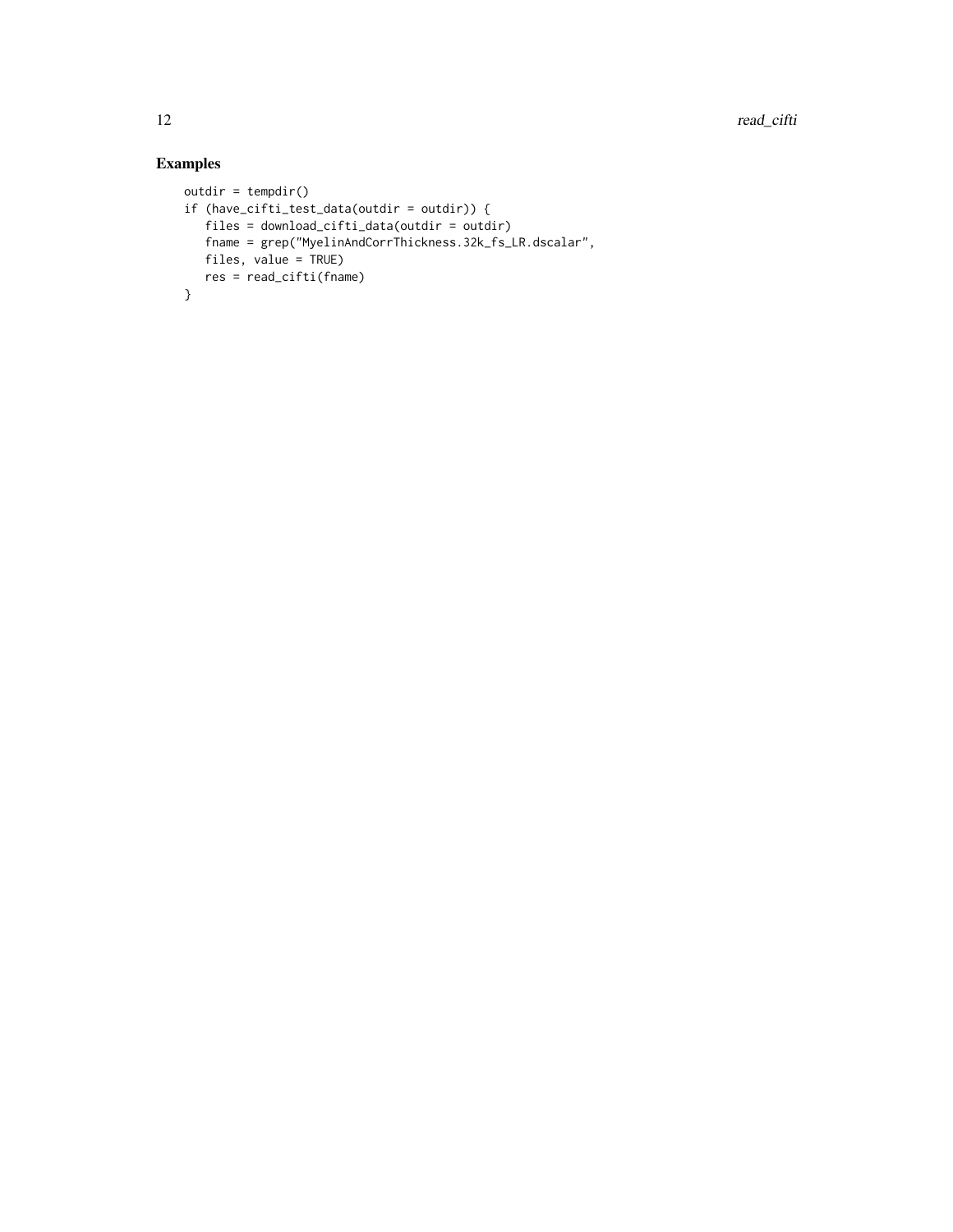#### Examples

```
outdir = tempdir()if (have_cifti_test_data(outdir = outdir)) {
  files = download_cifti_data(outdir = outdir)
  fname = grep("MyelinAndCorrThickness.32k_fs_LR.dscalar",
  files, value = TRUE)
  res = read_cifti(fname)
}
```